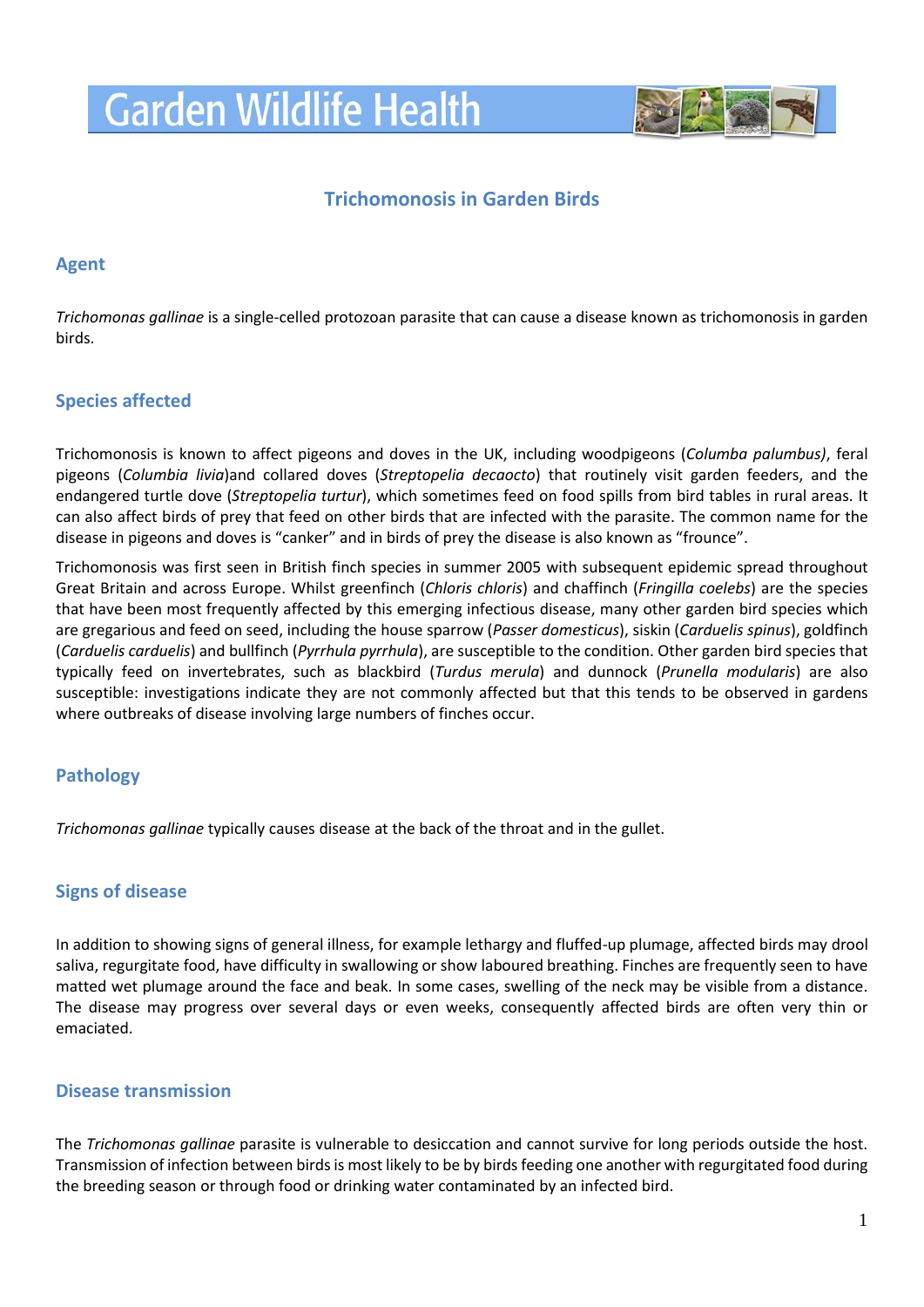# **Garden Wildlife Health**



# **Trichomonosis in Garden Birds**

### **Agent**

*Trichomonas gallinae* is a single-celled protozoan parasite that can cause a disease known as trichomonosis in garden birds.

# **Species affected**

Trichomonosis is known to affect pigeons and doves in the UK, including woodpigeons (*Columba palumbus)*, feral pigeons (*Columbia livia*)and collared doves (*Streptopelia decaocto*) that routinely visit garden feeders, and the endangered turtle dove (*Streptopelia turtur*), which sometimes feed on food spills from bird tables in rural areas. It can also affect birds of prey that feed on other birds that are infected with the parasite. The common name for the disease in pigeons and doves is "canker" and in birds of prey the disease is also known as "frounce".

Trichomonosis was first seen in British finch species in summer 2005 with subsequent epidemic spread throughout Great Britain and across Europe. Whilst greenfinch (*Chloris chloris*) and chaffinch (*Fringilla coelebs*) are the species that have been most frequently affected by this emerging infectious disease, many other garden bird species which are gregarious and feed on seed, including the house sparrow (*Passer domesticus*), siskin (*Carduelis spinus*), goldfinch (*Carduelis carduelis*) and bullfinch (*Pyrrhula pyrrhula*), are susceptible to the condition. Other garden bird species that typically feed on invertebrates, such as blackbird (*Turdus merula*) and dunnock (*Prunella modularis*) are also susceptible: investigations indicate they are not commonly affected but that this tends to be observed in gardens where outbreaks of disease involving large numbers of finches occur.

# **Pathology**

*Trichomonas gallinae* typically causes disease at the back of the throat and in the gullet.

# **Signs of disease**

In addition to showing signs of general illness, for example lethargy and fluffed-up plumage, affected birds may drool saliva, regurgitate food, have difficulty in swallowing or show laboured breathing. Finches are frequently seen to have matted wet plumage around the face and beak. In some cases, swelling of the neck may be visible from a distance. The disease may progress over several days or even weeks, consequently affected birds are often very thin or emaciated.

#### **Disease transmission**

The *Trichomonas gallinae* parasite is vulnerable to desiccation and cannot survive for long periods outside the host. Transmission of infection between birds is most likely to be by birds feeding one another with regurgitated food during the breeding season or through food or drinking water contaminated by an infected bird.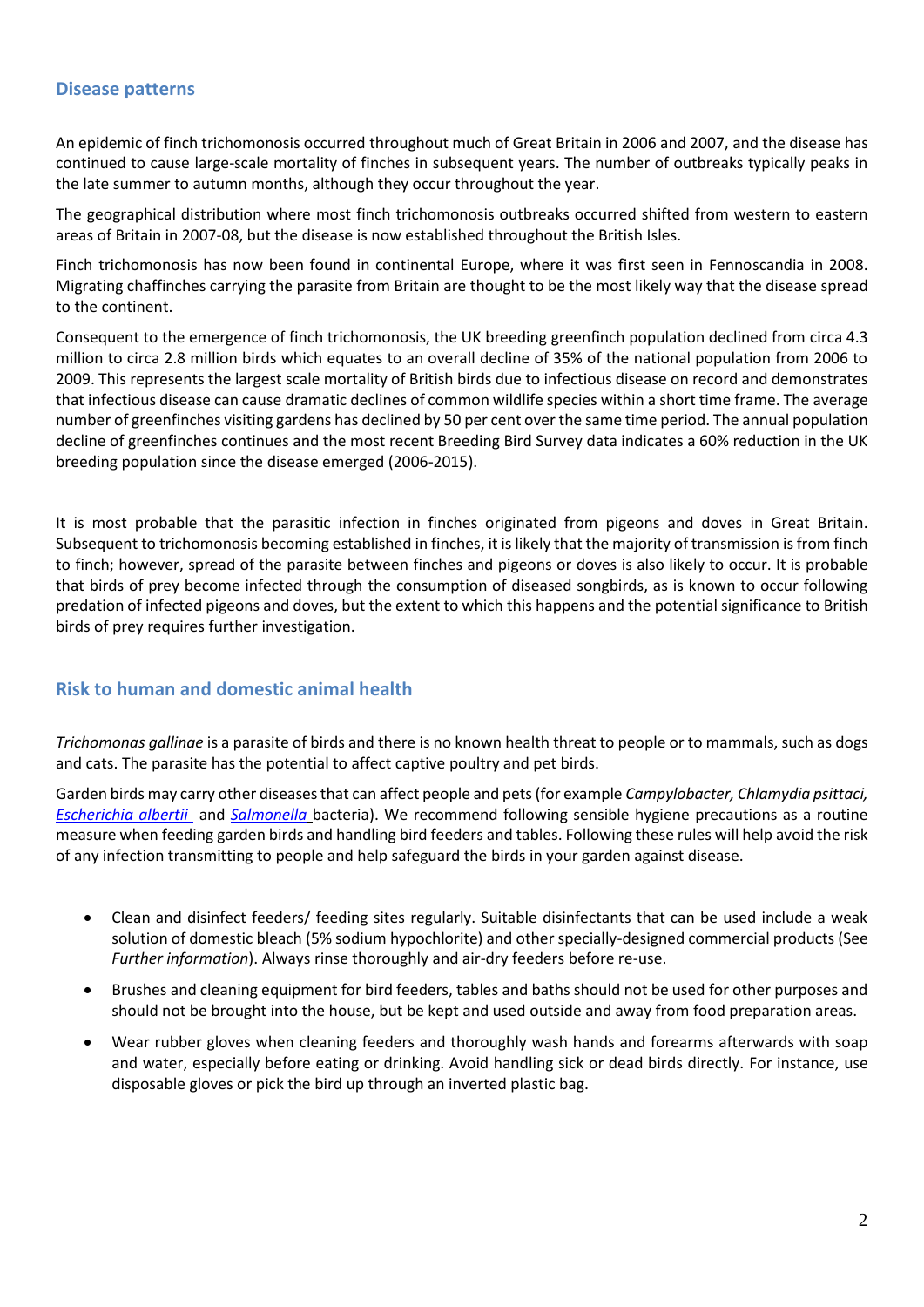#### **Disease patterns**

An epidemic of finch trichomonosis occurred throughout much of Great Britain in 2006 and 2007, and the disease has continued to cause large-scale mortality of finches in subsequent years. The number of outbreaks typically peaks in the late summer to autumn months, although they occur throughout the year.

The geographical distribution where most finch trichomonosis outbreaks occurred shifted from western to eastern areas of Britain in 2007-08, but the disease is now established throughout the British Isles.

Finch trichomonosis has now been found in continental Europe, where it was first seen in Fennoscandia in 2008. Migrating chaffinches carrying the parasite from Britain are thought to be the most likely way that the disease spread to the continent.

Consequent to the emergence of finch trichomonosis, the UK breeding greenfinch population declined from circa 4.3 million to circa 2.8 million birds which equates to an overall decline of 35% of the national population from 2006 to 2009. This represents the largest scale mortality of British birds due to infectious disease on record and demonstrates that infectious disease can cause dramatic declines of common wildlife species within a short time frame. The average number of greenfinches visiting gardens has declined by 50 per cent over the same time period. The annual population decline of greenfinches continues and the most recent Breeding Bird Survey data indicates a 60% reduction in the UK breeding population since the disease emerged (2006-2015).

It is most probable that the parasitic infection in finches originated from pigeons and doves in Great Britain. Subsequent to trichomonosis becoming established in finches, it is likely that the majority of transmission is from finch to finch; however, spread of the parasite between finches and pigeons or doves is also likely to occur. It is probable that birds of prey become infected through the consumption of diseased songbirds, as is known to occur following predation of infected pigeons and doves, but the extent to which this happens and the potential significance to British birds of prey requires further investigation.

# **Risk to human and domestic animal health**

*Trichomonas gallinae* is a parasite of birds and there is no known health threat to people or to mammals, such as dogs and cats. The parasite has the potential to affect captive poultry and pet birds.

Garden birds may carry other diseases that can affect people and pets(for example *Campylobacter, Chlamydia psittaci, [Escherichia albertii](http://www.gardenwildlifehealth.org/files/2013/06/Garden-bird-Escherichia-albertii-factsheet_GWH.pdf)* and *[Salmonella](http://www.gardenwildlifehealth.org/files/2013/06/Garden-bird-Salmonellosis-factsheet_GWH.pdf)* bacteria). We recommend following sensible hygiene precautions as a routine measure when feeding garden birds and handling bird feeders and tables. Following these rules will help avoid the risk of any infection transmitting to people and help safeguard the birds in your garden against disease.

- Clean and disinfect feeders/ feeding sites regularly. Suitable disinfectants that can be used include a weak solution of domestic bleach (5% sodium hypochlorite) and other specially-designed commercial products (See *Further information*). Always rinse thoroughly and air-dry feeders before re-use.
- Brushes and cleaning equipment for bird feeders, tables and baths should not be used for other purposes and should not be brought into the house, but be kept and used outside and away from food preparation areas.
- Wear rubber gloves when cleaning feeders and thoroughly wash hands and forearms afterwards with soap and water, especially before eating or drinking. Avoid handling sick or dead birds directly. For instance, use disposable gloves or pick the bird up through an inverted plastic bag.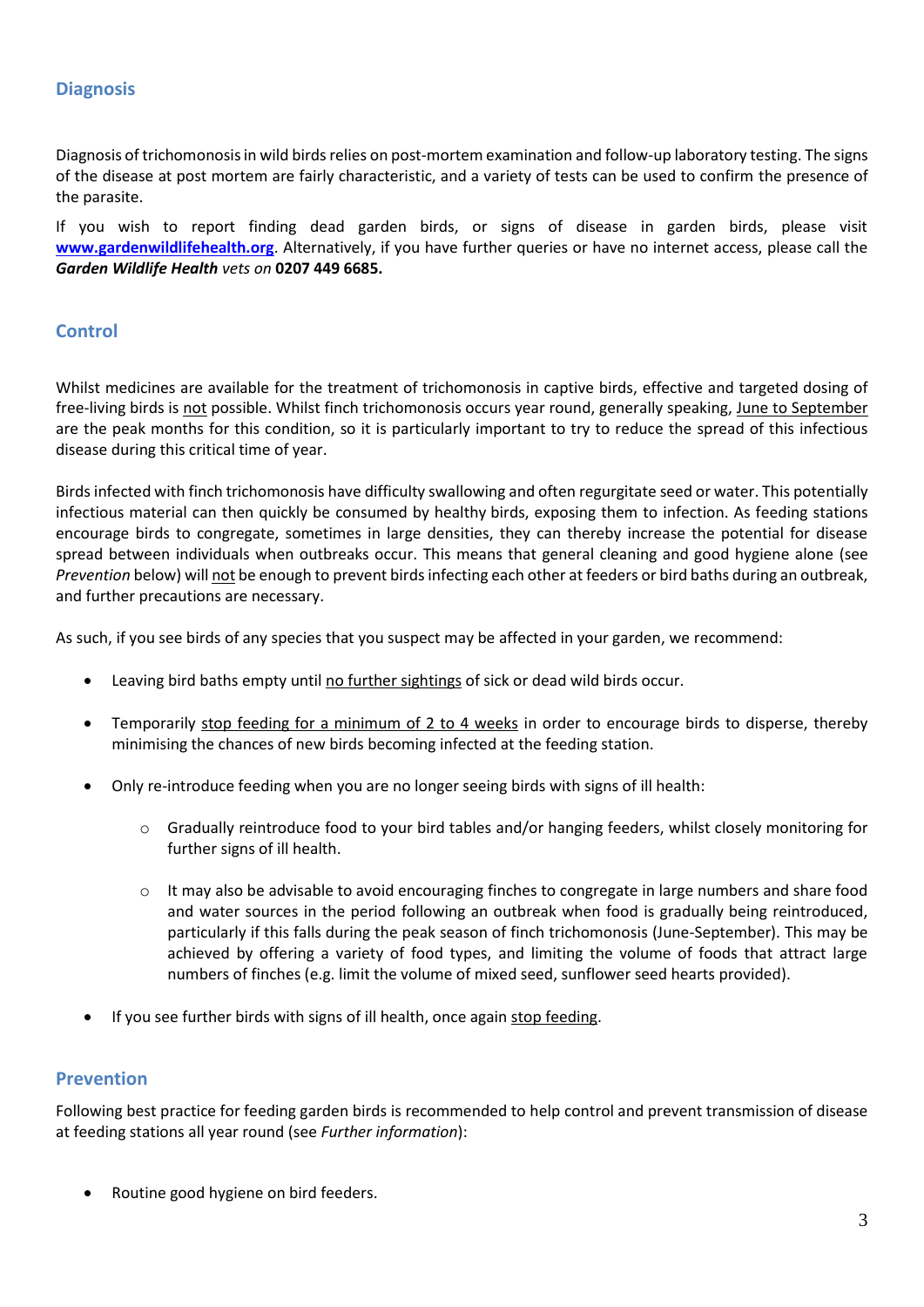# **Diagnosis**

Diagnosis of trichomonosisin wild birds relies on post-mortem examination and follow-up laboratory testing. The signs of the disease at post mortem are fairly characteristic, and a variety of tests can be used to confirm the presence of the parasite.

If you wish to report finding dead garden birds, or signs of disease in garden birds, please visit **[www.gardenwildlifehealth.org](http://www.gardenwildlifehealth.org/)**. Alternatively, if you have further queries or have no internet access, please call the *Garden Wildlife Health vets on* **0207 449 6685.**

### **Control**

Whilst medicines are available for the treatment of trichomonosis in captive birds, effective and targeted dosing of free-living birds is not possible. Whilst finch trichomonosis occurs year round, generally speaking, June to September are the peak months for this condition, so it is particularly important to try to reduce the spread of this infectious disease during this critical time of year.

Birds infected with finch trichomonosis have difficulty swallowing and often regurgitate seed or water. This potentially infectious material can then quickly be consumed by healthy birds, exposing them to infection. As feeding stations encourage birds to congregate, sometimes in large densities, they can thereby increase the potential for disease spread between individuals when outbreaks occur. This means that general cleaning and good hygiene alone (see *Prevention* below) will not be enough to prevent birds infecting each other at feeders or bird baths during an outbreak, and further precautions are necessary.

As such, if you see birds of any species that you suspect may be affected in your garden, we recommend:

- Leaving bird baths empty until no further sightings of sick or dead wild birds occur.
- Temporarily stop feeding for a minimum of 2 to 4 weeks in order to encourage birds to disperse, thereby minimising the chances of new birds becoming infected at the feeding station.
- Only re-introduce feeding when you are no longer seeing birds with signs of ill health:
	- o Gradually reintroduce food to your bird tables and/or hanging feeders, whilst closely monitoring for further signs of ill health.
	- o It may also be advisable to avoid encouraging finches to congregate in large numbers and share food and water sources in the period following an outbreak when food is gradually being reintroduced, particularly if this falls during the peak season of finch trichomonosis (June-September). This may be achieved by offering a variety of food types, and limiting the volume of foods that attract large numbers of finches (e.g. limit the volume of mixed seed, sunflower seed hearts provided).
- If you see further birds with signs of ill health, once again stop feeding.

#### **Prevention**

Following best practice for feeding garden birds is recommended to help control and prevent transmission of disease at feeding stations all year round (see *Further information*):

Routine good hygiene on bird feeders.